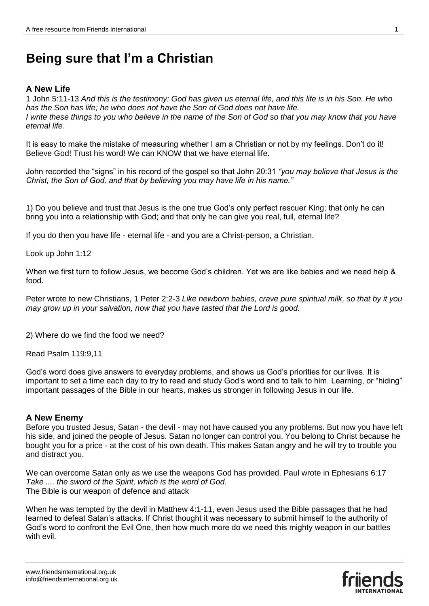## **Being sure that I'm a Christian**

## **A New Life**

1 John 5:11-13 *And this is the testimony: God has given us eternal life, and this life is in his Son. He who has the Son has life; he who does not have the Son of God does not have life. I write these things to you who believe in the name of the Son of God so that you may know that you have eternal life.*

It is easy to make the mistake of measuring whether I am a Christian or not by my feelings. Don't do it! Believe God! Trust his word! We can KNOW that we have eternal life.

John recorded the "signs" in his record of the gospel so that John 20:31 *"you may believe that Jesus is the Christ, the Son of God, and that by believing you may have life in his name."*

1) Do you believe and trust that Jesus is the one true God's only perfect rescuer King; that only he can bring you into a relationship with God; and that only he can give you real, full, eternal life?

If you do then you have life - eternal life - and you are a Christ-person, a Christian.

Look up John 1:12

When we first turn to follow Jesus, we become God's children. Yet we are like babies and we need help & food.

Peter wrote to new Christians, 1 Peter 2:2-3 *Like newborn babies, crave pure spiritual milk, so that by it you may grow up in your salvation, now that you have tasted that the Lord is good.*

2) Where do we find the food we need?

Read Psalm 119:9,11

God's word does give answers to everyday problems, and shows us God's priorities for our lives. It is important to set a time each day to try to read and study God's word and to talk to him. Learning, or "hiding" important passages of the Bible in our hearts, makes us stronger in following Jesus in our life.

## **A New Enemy**

Before you trusted Jesus, Satan - the devil - may not have caused you any problems. But now you have left his side, and joined the people of Jesus. Satan no longer can control you. You belong to Christ because he bought you for a price - at the cost of his own death. This makes Satan angry and he will try to trouble you and distract you.

We can overcome Satan only as we use the weapons God has provided. Paul wrote in Ephesians 6:17 *Take .... the sword of the Spirit, which is the word of God.* The Bible is our weapon of defence and attack

When he was tempted by the devil in Matthew 4:1-11, even Jesus used the Bible passages that he had learned to defeat Satan's attacks. If Christ thought it was necessary to submit himself to the authority of God's word to confront the Evil One, then how much more do we need this mighty weapon in our battles with evil.